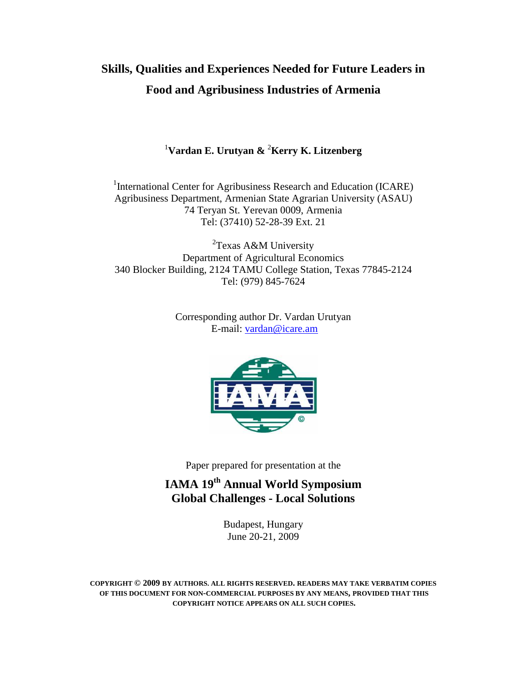# **Skills, Qualities and Experiences Needed for Future Leaders in Food and Agribusiness Industries of Armenia**

## <sup>1</sup>**Vardan E. Urutyan &** <sup>2</sup>**Kerry K. Litzenberg**

<sup>1</sup>International Center for Agribusiness Research and Education (ICARE) Agribusiness Department, Armenian State Agrarian University (ASAU) 74 Teryan St. Yerevan 0009, Armenia Tel: (37410) 52-28-39 Ext. 21

<sup>2</sup>Texas A&M University Department of Agricultural Economics 340 Blocker Building, 2124 TAMU College Station, Texas 77845-2124 Tel: (979) 845-7624

> Corresponding author Dr. Vardan Urutyan E-mail: vardan@icare.am



Paper prepared for presentation at the

## **IAMA 19th Annual World Symposium Global Challenges - Local Solutions**

Budapest, Hungary June 20-21, 2009

**COPYRIGHT © 2009 BY AUTHORS. ALL RIGHTS RESERVED. READERS MAY TAKE VERBATIM COPIES OF THIS DOCUMENT FOR NON-COMMERCIAL PURPOSES BY ANY MEANS, PROVIDED THAT THIS COPYRIGHT NOTICE APPEARS ON ALL SUCH COPIES.**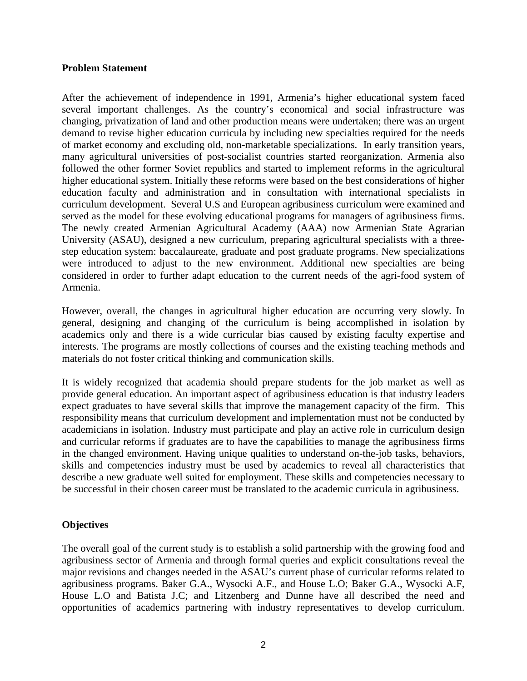#### **Problem Statement**

After the achievement of independence in 1991, Armenia's higher educational system faced several important challenges. As the country's economical and social infrastructure was changing, privatization of land and other production means were undertaken; there was an urgent demand to revise higher education curricula by including new specialties required for the needs of market economy and excluding old, non-marketable specializations. In early transition years, many agricultural universities of post-socialist countries started reorganization. Armenia also followed the other former Soviet republics and started to implement reforms in the agricultural higher educational system. Initially these reforms were based on the best considerations of higher education faculty and administration and in consultation with international specialists in curriculum development. Several U.S and European agribusiness curriculum were examined and served as the model for these evolving educational programs for managers of agribusiness firms. The newly created Armenian Agricultural Academy (AAA) now Armenian State Agrarian University (ASAU), designed a new curriculum, preparing agricultural specialists with a threestep education system: baccalaureate, graduate and post graduate programs. New specializations were introduced to adjust to the new environment. Additional new specialties are being considered in order to further adapt education to the current needs of the agri-food system of Armenia.

However, overall, the changes in agricultural higher education are occurring very slowly. In general, designing and changing of the curriculum is being accomplished in isolation by academics only and there is a wide curricular bias caused by existing faculty expertise and interests. The programs are mostly collections of courses and the existing teaching methods and materials do not foster critical thinking and communication skills.

It is widely recognized that academia should prepare students for the job market as well as provide general education. An important aspect of agribusiness education is that industry leaders expect graduates to have several skills that improve the management capacity of the firm. This responsibility means that curriculum development and implementation must not be conducted by academicians in isolation. Industry must participate and play an active role in curriculum design and curricular reforms if graduates are to have the capabilities to manage the agribusiness firms in the changed environment. Having unique qualities to understand on-the-job tasks, behaviors, skills and competencies industry must be used by academics to reveal all characteristics that describe a new graduate well suited for employment. These skills and competencies necessary to be successful in their chosen career must be translated to the academic curricula in agribusiness.

#### **Objectives**

The overall goal of the current study is to establish a solid partnership with the growing food and agribusiness sector of Armenia and through formal queries and explicit consultations reveal the major revisions and changes needed in the ASAU's current phase of curricular reforms related to agribusiness programs. Baker G.A., Wysocki A.F., and House L.O; Baker G.A., Wysocki A.F, House L.O and Batista J.C; and Litzenberg and Dunne have all described the need and opportunities of academics partnering with industry representatives to develop curriculum.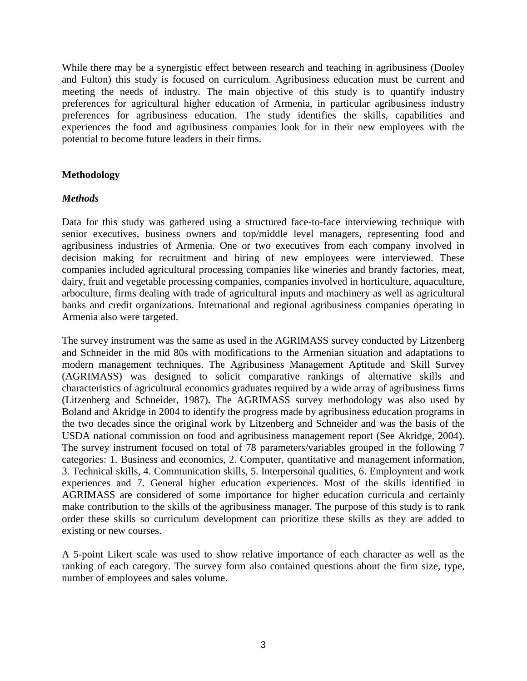While there may be a synergistic effect between research and teaching in agribusiness (Dooley and Fulton) this study is focused on curriculum. Agribusiness education must be current and meeting the needs of industry. The main objective of this study is to quantify industry preferences for agricultural higher education of Armenia, in particular agribusiness industry preferences for agribusiness education. The study identifies the skills, capabilities and experiences the food and agribusiness companies look for in their new employees with the potential to become future leaders in their firms.

### **Methodology**

### *Methods*

Data for this study was gathered using a structured face-to-face interviewing technique with senior executives, business owners and top/middle level managers, representing food and agribusiness industries of Armenia. One or two executives from each company involved in decision making for recruitment and hiring of new employees were interviewed. These companies included agricultural processing companies like wineries and brandy factories, meat, dairy, fruit and vegetable processing companies, companies involved in horticulture, aquaculture, arboculture, firms dealing with trade of agricultural inputs and machinery as well as agricultural banks and credit organizations. International and regional agribusiness companies operating in Armenia also were targeted.

The survey instrument was the same as used in the AGRIMASS survey conducted by Litzenberg and Schneider in the mid 80s with modifications to the Armenian situation and adaptations to modern management techniques. The Agribusiness Management Aptitude and Skill Survey (AGRIMASS) was designed to solicit comparative rankings of alternative skills and characteristics of agricultural economics graduates required by a wide array of agribusiness firms (Litzenberg and Schneider, 1987). The AGRIMASS survey methodology was also used by Boland and Akridge in 2004 to identify the progress made by agribusiness education programs in the two decades since the original work by Litzenberg and Schneider and was the basis of the USDA national commission on food and agribusiness management report (See Akridge, 2004). The survey instrument focused on total of 78 parameters/variables grouped in the following 7 categories: 1. Business and economics, 2. Computer, quantitative and management information, 3. Technical skills, 4. Communication skills, 5. Interpersonal qualities, 6. Employment and work experiences and 7. General higher education experiences. Most of the skills identified in AGRIMASS are considered of some importance for higher education curricula and certainly make contribution to the skills of the agribusiness manager. The purpose of this study is to rank order these skills so curriculum development can prioritize these skills as they are added to existing or new courses.

A 5-point Likert scale was used to show relative importance of each character as well as the ranking of each category. The survey form also contained questions about the firm size, type, number of employees and sales volume.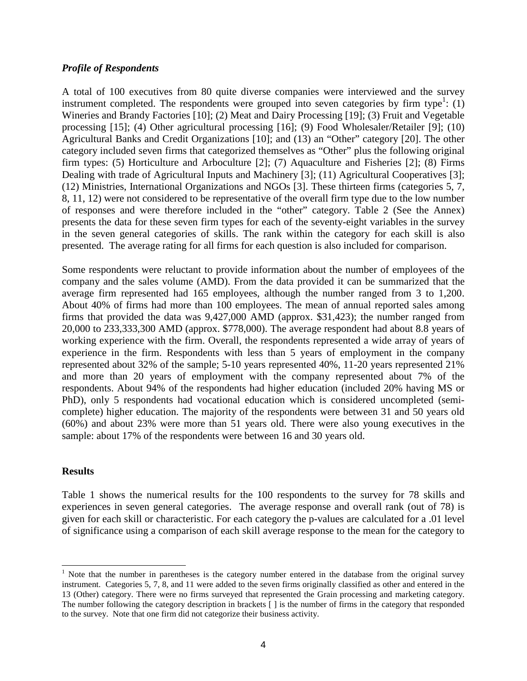#### *Profile of Respondents*

A total of 100 executives from 80 quite diverse companies were interviewed and the survey instrument completed. The respondents were grouped into seven categories by firm type<sup>1</sup>: (1) Wineries and Brandy Factories [10]; (2) Meat and Dairy Processing [19]; (3) Fruit and Vegetable processing [15]; (4) Other agricultural processing [16]; (9) Food Wholesaler/Retailer [9]; (10) Agricultural Banks and Credit Organizations [10]; and (13) an "Other" category [20]. The other category included seven firms that categorized themselves as "Other" plus the following original firm types: (5) Horticulture and Arboculture [2]; (7) Aquaculture and Fisheries [2]; (8) Firms Dealing with trade of Agricultural Inputs and Machinery [3]; (11) Agricultural Cooperatives [3]; (12) Ministries, International Organizations and NGOs [3]. These thirteen firms (categories 5, 7, 8, 11, 12) were not considered to be representative of the overall firm type due to the low number of responses and were therefore included in the "other" category. Table 2 (See the Annex) presents the data for these seven firm types for each of the seventy-eight variables in the survey in the seven general categories of skills. The rank within the category for each skill is also presented. The average rating for all firms for each question is also included for comparison.

Some respondents were reluctant to provide information about the number of employees of the company and the sales volume (AMD). From the data provided it can be summarized that the average firm represented had 165 employees, although the number ranged from 3 to 1,200. About 40% of firms had more than 100 employees. The mean of annual reported sales among firms that provided the data was 9,427,000 AMD (approx. \$31,423); the number ranged from 20,000 to 233,333,300 AMD (approx. \$778,000). The average respondent had about 8.8 years of working experience with the firm. Overall, the respondents represented a wide array of years of experience in the firm. Respondents with less than 5 years of employment in the company represented about 32% of the sample; 5-10 years represented 40%, 11-20 years represented 21% and more than 20 years of employment with the company represented about 7% of the respondents. About 94% of the respondents had higher education (included 20% having MS or PhD), only 5 respondents had vocational education which is considered uncompleted (semicomplete) higher education. The majority of the respondents were between 31 and 50 years old (60%) and about 23% were more than 51 years old. There were also young executives in the sample: about 17% of the respondents were between 16 and 30 years old.

#### **Results**

Table 1 shows the numerical results for the 100 respondents to the survey for 78 skills and experiences in seven general categories. The average response and overall rank (out of 78) is given for each skill or characteristic. For each category the p-values are calculated for a .01 level of significance using a comparison of each skill average response to the mean for the category to

<sup>-</sup><sup>1</sup> Note that the number in parentheses is the category number entered in the database from the original survey instrument. Categories 5, 7, 8, and 11 were added to the seven firms originally classified as other and entered in the 13 (Other) category. There were no firms surveyed that represented the Grain processing and marketing category. The number following the category description in brackets [ ] is the number of firms in the category that responded to the survey. Note that one firm did not categorize their business activity.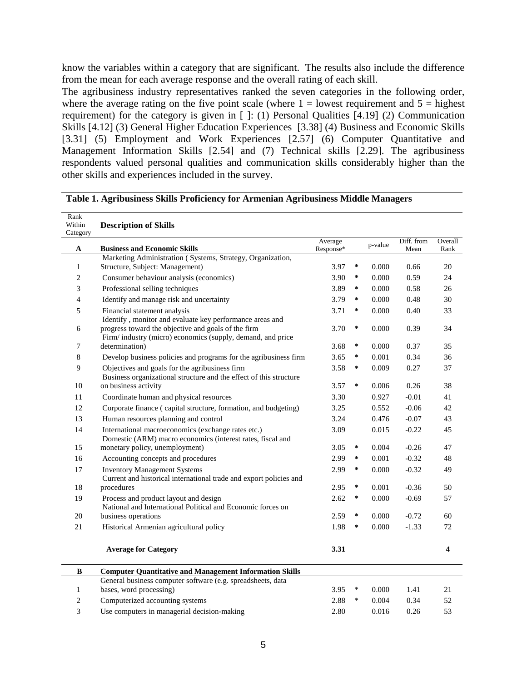know the variables within a category that are significant. The results also include the difference from the mean for each average response and the overall rating of each skill.

The agribusiness industry representatives ranked the seven categories in the following order, where the average rating on the five point scale (where  $1 =$  lowest requirement and  $5 =$  highest requirement) for the category is given in [ ]: (1) Personal Qualities [4.19] (2) Communication Skills [4.12] (3) General Higher Education Experiences [3.38] (4) Business and Economic Skills [3.31] (5) Employment and Work Experiences [2.57] (6) Computer Quantitative and Management Information Skills [2.54] and (7) Technical skills [2.29]. The agribusiness respondents valued personal qualities and communication skills considerably higher than the other skills and experiences included in the survey.

| Rank<br>Within |                                                                                                                                                                                |                      |        |         |                    |                 |
|----------------|--------------------------------------------------------------------------------------------------------------------------------------------------------------------------------|----------------------|--------|---------|--------------------|-----------------|
| Category       | <b>Description of Skills</b>                                                                                                                                                   |                      |        |         |                    |                 |
| A              | <b>Business and Economic Skills</b>                                                                                                                                            | Average<br>Response* |        | p-value | Diff. from<br>Mean | Overall<br>Rank |
|                | Marketing Administration (Systems, Strategy, Organization,                                                                                                                     |                      |        |         |                    |                 |
| $\mathbf{1}$   | Structure, Subject: Management)                                                                                                                                                | 3.97                 | ∗      | 0.000   | 0.66               | 20              |
| $\overline{c}$ | Consumer behaviour analysis (economics)                                                                                                                                        | 3.90                 | ∗      | 0.000   | 0.59               | 24              |
| 3              | Professional selling techniques                                                                                                                                                | 3.89                 | ∗      | 0.000   | 0.58               | 26              |
| $\overline{4}$ | Identify and manage risk and uncertainty                                                                                                                                       | 3.79                 | ∗      | 0.000   | 0.48               | 30              |
| 5              | Financial statement analysis                                                                                                                                                   |                      | ∗      | 0.000   | 0.40               | 33              |
| 6              | Identify, monitor and evaluate key performance areas and<br>progress toward the objective and goals of the firm<br>Firm/ industry (micro) economics (supply, demand, and price | 3.70                 | ∗      | 0.000   | 0.39               | 34              |
| 7              | determination)                                                                                                                                                                 |                      | ∗      | 0.000   | 0.37               | 35              |
| 8              | Develop business policies and programs for the agribusiness firm                                                                                                               | 3.65                 | ∗      | 0.001   | 0.34               | 36              |
| 9              | Objectives and goals for the agribusiness firm<br>Business organizational structure and the effect of this structure                                                           | 3.58                 | ∗      | 0.009   | 0.27               | 37              |
| 10             | on business activity                                                                                                                                                           | 3.57                 | ∗      | 0.006   | 0.26               | 38              |
| 11             | Coordinate human and physical resources                                                                                                                                        | 3.30                 |        | 0.927   | $-0.01$            | 41              |
| 12             | Corporate finance (capital structure, formation, and budgeting)                                                                                                                | 3.25                 |        | 0.552   | $-0.06$            | 42              |
| 13             | Human resources planning and control                                                                                                                                           | 3.24                 |        | 0.476   | $-0.07$            | 43              |
| 14             | International macroeconomics (exchange rates etc.)<br>Domestic (ARM) macro economics (interest rates, fiscal and                                                               | 3.09                 |        | 0.015   | $-0.22$            | 45              |
| 15             | monetary policy, unemployment)                                                                                                                                                 | 3.05                 | ∗      | 0.004   | $-0.26$            | 47              |
| 16             | Accounting concepts and procedures                                                                                                                                             | 2.99                 | ∗      | 0.001   | $-0.32$            | 48              |
| 17             | <b>Inventory Management Systems</b><br>Current and historical international trade and export policies and                                                                      | 2.99                 | ∗      | 0.000   | $-0.32$            | 49              |
| 18             | procedures                                                                                                                                                                     | 2.95                 | ∗      | 0.001   | $-0.36$            | 50              |
| 19             | Process and product layout and design<br>National and International Political and Economic forces on                                                                           | 2.62                 | ∗      | 0.000   | $-0.69$            | 57              |
| 20             | business operations                                                                                                                                                            | 2.59                 | ∗      | 0.000   | $-0.72$            | 60              |
| 21             | Historical Armenian agricultural policy                                                                                                                                        | 1.98                 | ∗      | 0.000   | $-1.33$            | 72              |
|                | <b>Average for Category</b>                                                                                                                                                    | 3.31                 |        |         |                    | 4               |
| B              | <b>Computer Quantitative and Management Information Skills</b>                                                                                                                 |                      |        |         |                    |                 |
| $\mathbf{1}$   | General business computer software (e.g. spreadsheets, data<br>bases, word processing)                                                                                         | 3.95                 | $\ast$ | 0.000   | 1.41               | 21              |
| $\overline{c}$ | Computerized accounting systems                                                                                                                                                | 2.88                 | $\ast$ | 0.004   | 0.34               | 52              |
| 3              | Use computers in managerial decision-making                                                                                                                                    | 2.80                 |        | 0.016   | 0.26               | 53              |

### **Table 1. Agribusiness Skills Proficiency for Armenian Agribusiness Middle Managers**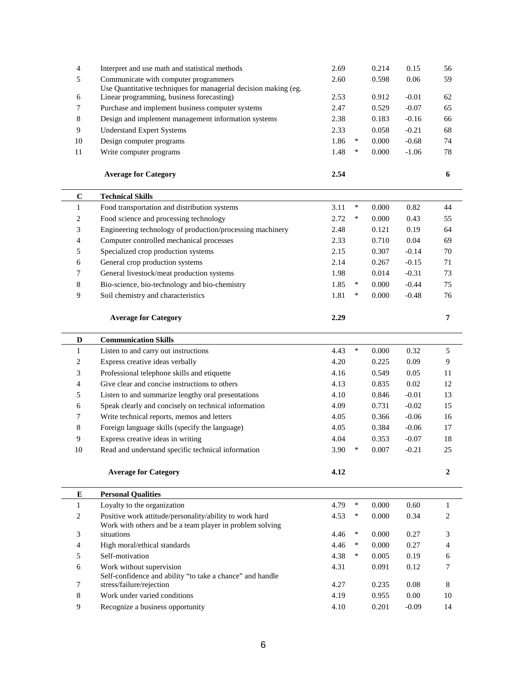| 4               | Interpret and use math and statistical methods                                                               | 2.69 |        | 0.214 | 0.15     | 56               |
|-----------------|--------------------------------------------------------------------------------------------------------------|------|--------|-------|----------|------------------|
| 5               | Communicate with computer programmers                                                                        | 2.60 |        | 0.598 | 0.06     | 59               |
| 6               | Use Quantitative techniques for managerial decision making (eg.<br>Linear programming, business forecasting) | 2.53 |        | 0.912 | $-0.01$  | 62               |
| 7               | Purchase and implement business computer systems                                                             | 2.47 |        | 0.529 | $-0.07$  | 65               |
| 8               | Design and implement management information systems                                                          | 2.38 |        | 0.183 | $-0.16$  | 66               |
| 9               | <b>Understand Expert Systems</b>                                                                             | 2.33 |        | 0.058 | $-0.21$  | 68               |
| 10              | Design computer programs                                                                                     | 1.86 | $\ast$ | 0.000 | $-0.68$  | 74               |
| 11              | Write computer programs                                                                                      | 1.48 | $\ast$ | 0.000 | $-1.06$  | 78               |
|                 |                                                                                                              |      |        |       |          |                  |
|                 | <b>Average for Category</b>                                                                                  | 2.54 |        |       |          | 6                |
|                 |                                                                                                              |      |        |       |          |                  |
| $\bf C$         | <b>Technical Skills</b>                                                                                      |      |        |       |          |                  |
| $\mathbf{1}$    | Food transportation and distribution systems                                                                 | 3.11 | $\ast$ | 0.000 | 0.82     | 44               |
| $\mathbf{2}$    | Food science and processing technology                                                                       | 2.72 | $\ast$ | 0.000 | 0.43     | 55               |
| 3               | Engineering technology of production/processing machinery                                                    | 2.48 |        | 0.121 | 0.19     | 64               |
| $\overline{4}$  | Computer controlled mechanical processes                                                                     | 2.33 |        | 0.710 | 0.04     | 69               |
| 5               | Specialized crop production systems                                                                          | 2.15 |        | 0.307 | $-0.14$  | 70               |
| 6               | General crop production systems                                                                              | 2.14 |        | 0.267 | $-0.15$  | 71               |
| $7\phantom{.0}$ | General livestock/meat production systems                                                                    | 1.98 |        | 0.014 | $-0.31$  | 73               |
| 8               | Bio-science, bio-technology and bio-chemistry                                                                | 1.85 | ∗      | 0.000 | $-0.44$  | 75               |
| 9               | Soil chemistry and characteristics                                                                           | 1.81 | ∗      | 0.000 | $-0.48$  | 76               |
|                 |                                                                                                              |      |        |       |          |                  |
|                 | <b>Average for Category</b>                                                                                  | 2.29 |        |       |          | $\overline{7}$   |
| D               | <b>Communication Skills</b>                                                                                  |      |        |       |          |                  |
| $\mathbf{1}$    | Listen to and carry out instructions                                                                         | 4.43 | $\ast$ | 0.000 | 0.32     | 5                |
| $\overline{c}$  | Express creative ideas verbally                                                                              | 4.20 |        | 0.225 | 0.09     | 9                |
| 3               | Professional telephone skills and etiquette                                                                  | 4.16 |        | 0.549 | 0.05     | 11               |
| 4               | Give clear and concise instructions to others                                                                | 4.13 |        | 0.835 | 0.02     | 12               |
| 5               | Listen to and summarize lengthy oral presentations                                                           | 4.10 |        | 0.846 | $-0.01$  | 13               |
| 6               | Speak clearly and concisely on technical information                                                         | 4.09 |        | 0.731 | $-0.02$  | 15               |
| 7               | Write technical reports, memos and letters                                                                   | 4.05 |        | 0.366 | $-0.06$  | 16               |
| 8               | Foreign language skills (specify the language)                                                               | 4.05 |        | 0.384 | $-0.06$  | 17               |
| 9               | Express creative ideas in writing                                                                            | 4.04 |        | 0.353 | $-0.07$  | 18               |
| $10\,$          | Read and understand specific technical information                                                           | 3.90 | $\ast$ | 0.007 | $-0.21$  | 25               |
|                 |                                                                                                              |      |        |       |          |                  |
|                 | <b>Average for Category</b>                                                                                  | 4.12 |        |       |          | $\boldsymbol{2}$ |
| E               | <b>Personal Qualities</b>                                                                                    |      |        |       |          |                  |
| $\mathbf{1}$    | Loyalty to the organization                                                                                  | 4.79 | $\ast$ | 0.000 | 0.60     | 1                |
| $\overline{c}$  | Positive work attitude/personality/ability to work hard                                                      | 4.53 | $\ast$ | 0.000 | 0.34     | 2                |
|                 | Work with others and be a team player in problem solving                                                     |      |        |       |          |                  |
| 3               | situations                                                                                                   | 4.46 | $\ast$ | 0.000 | 0.27     | 3                |
| 4               | High moral/ethical standards                                                                                 | 4.46 | $\ast$ | 0.000 | 0.27     | 4                |
| 5               | Self-motivation                                                                                              | 4.38 | ∗      | 0.005 | 0.19     | 6                |
| 6               | Work without supervision                                                                                     | 4.31 |        | 0.091 | 0.12     | 7                |
| 7               | Self-confidence and ability "to take a chance" and handle<br>stress/failure/rejection                        | 4.27 |        | 0.235 | 0.08     | $\,8\,$          |
| 8               | Work under varied conditions                                                                                 | 4.19 |        | 0.955 | $0.00\,$ | 10               |
|                 |                                                                                                              |      |        |       |          |                  |
| 9               | Recognize a business opportunity                                                                             | 4.10 |        | 0.201 | $-0.09$  | 14               |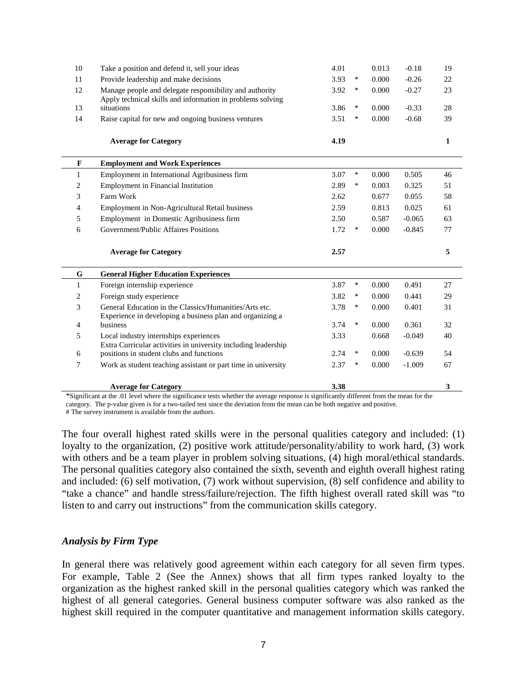| 10           | Take a position and defend it, sell your ideas                                                                        | 4.01 |        | 0.013 | $-0.18$  | 19           |
|--------------|-----------------------------------------------------------------------------------------------------------------------|------|--------|-------|----------|--------------|
| 11           | Provide leadership and make decisions                                                                                 | 3.93 | $\ast$ | 0.000 | $-0.26$  | 22           |
| 12           | Manage people and delegate responsibility and authority<br>Apply technical skills and information in problems solving | 3.92 | $\ast$ | 0.000 | $-0.27$  | 23           |
| 13           | situations                                                                                                            | 3.86 | $\ast$ | 0.000 | $-0.33$  | 28           |
| 14           | Raise capital for new and ongoing business ventures                                                                   | 3.51 | $\ast$ | 0.000 | $-0.68$  | 39           |
|              | <b>Average for Category</b>                                                                                           | 4.19 |        |       |          | $\mathbf{1}$ |
| $\mathbf{F}$ | <b>Employment and Work Experiences</b>                                                                                |      |        |       |          |              |
| 1            | Employment in International Agribusiness firm                                                                         | 3.07 | $\ast$ | 0.000 | 0.505    | 46           |
| 2            | Employment in Financial Institution                                                                                   | 2.89 | $\ast$ | 0.003 | 0.325    | 51           |
| 3            | Farm Work                                                                                                             | 2.62 |        | 0.677 | 0.055    | 58           |
| 4            | Employment in Non-Agricultural Retail business                                                                        | 2.59 |        | 0.813 | 0.025    | 61           |
| 5            | Employment in Domestic Agribusiness firm                                                                              | 2.50 |        | 0.587 | $-0.065$ | 63           |
| 6            | Government/Public Affaires Positions                                                                                  | 1.72 | $\ast$ | 0.000 | $-0.845$ | 77           |
|              | <b>Average for Category</b>                                                                                           | 2.57 |        |       |          | 5            |
| $\mathbf G$  | <b>General Higher Education Experiences</b>                                                                           |      |        |       |          |              |
| $\mathbf{1}$ | Foreign internship experience                                                                                         | 3.87 | $\ast$ | 0.000 | 0.491    | 27           |
| 2            | Foreign study experience                                                                                              | 3.82 | ∗      | 0.000 | 0.441    | 29           |
| 3            | General Education in the Classics/Humanities/Arts etc.<br>Experience in developing a business plan and organizing a   | 3.78 | ∗      | 0.000 | 0.401    | 31           |
| 4            | business                                                                                                              | 3.74 | $\ast$ | 0.000 | 0.361    | 32           |
| 5            | Local industry internships experiences<br>Extra Curricular activities in university including leadership              | 3.33 |        | 0.668 | $-0.049$ | 40           |
| 6            | positions in student clubs and functions                                                                              | 2.74 | $\ast$ | 0.000 | $-0.639$ | 54           |
| 7            | Work as student teaching assistant or part time in university                                                         | 2.37 | $\ast$ | 0.000 | $-1.009$ | 67           |
|              | <b>Average for Category</b>                                                                                           | 3.38 |        |       |          | 3            |

\*Significant at the .01 level where the significance tests whether the average response is significantly different from the mean for the category. The p-value given is for a two-tailed test since the deviation from the mean can be both negative and positive.

# The survey instrument is available from the authors.

The four overall highest rated skills were in the personal qualities category and included: (1) loyalty to the organization, (2) positive work attitude/personality/ability to work hard, (3) work with others and be a team player in problem solving situations, (4) high moral/ethical standards. The personal qualities category also contained the sixth, seventh and eighth overall highest rating and included: (6) self motivation, (7) work without supervision, (8) self confidence and ability to "take a chance" and handle stress/failure/rejection. The fifth highest overall rated skill was "to listen to and carry out instructions" from the communication skills category.

#### *Analysis by Firm Type*

In general there was relatively good agreement within each category for all seven firm types. For example, Table 2 (See the Annex) shows that all firm types ranked loyalty to the organization as the highest ranked skill in the personal qualities category which was ranked the highest of all general categories. General business computer software was also ranked as the highest skill required in the computer quantitative and management information skills category.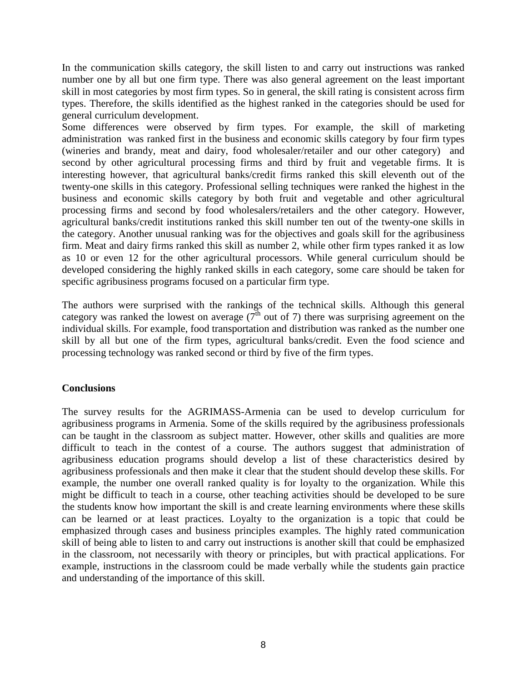In the communication skills category, the skill listen to and carry out instructions was ranked number one by all but one firm type. There was also general agreement on the least important skill in most categories by most firm types. So in general, the skill rating is consistent across firm types. Therefore, the skills identified as the highest ranked in the categories should be used for general curriculum development.

Some differences were observed by firm types. For example, the skill of marketing administration was ranked first in the business and economic skills category by four firm types (wineries and brandy, meat and dairy, food wholesaler/retailer and our other category) and second by other agricultural processing firms and third by fruit and vegetable firms. It is interesting however, that agricultural banks/credit firms ranked this skill eleventh out of the twenty-one skills in this category. Professional selling techniques were ranked the highest in the business and economic skills category by both fruit and vegetable and other agricultural processing firms and second by food wholesalers/retailers and the other category. However, agricultural banks/credit institutions ranked this skill number ten out of the twenty-one skills in the category. Another unusual ranking was for the objectives and goals skill for the agribusiness firm. Meat and dairy firms ranked this skill as number 2, while other firm types ranked it as low as 10 or even 12 for the other agricultural processors. While general curriculum should be developed considering the highly ranked skills in each category, some care should be taken for specific agribusiness programs focused on a particular firm type.

The authors were surprised with the rankings of the technical skills. Although this general category was ranked the lowest on average  $(7<sup>th</sup>$  out of 7) there was surprising agreement on the individual skills. For example, food transportation and distribution was ranked as the number one skill by all but one of the firm types, agricultural banks/credit. Even the food science and processing technology was ranked second or third by five of the firm types.

#### **Conclusions**

The survey results for the AGRIMASS-Armenia can be used to develop curriculum for agribusiness programs in Armenia. Some of the skills required by the agribusiness professionals can be taught in the classroom as subject matter. However, other skills and qualities are more difficult to teach in the contest of a course. The authors suggest that administration of agribusiness education programs should develop a list of these characteristics desired by agribusiness professionals and then make it clear that the student should develop these skills. For example, the number one overall ranked quality is for loyalty to the organization. While this might be difficult to teach in a course, other teaching activities should be developed to be sure the students know how important the skill is and create learning environments where these skills can be learned or at least practices. Loyalty to the organization is a topic that could be emphasized through cases and business principles examples. The highly rated communication skill of being able to listen to and carry out instructions is another skill that could be emphasized in the classroom, not necessarily with theory or principles, but with practical applications. For example, instructions in the classroom could be made verbally while the students gain practice and understanding of the importance of this skill.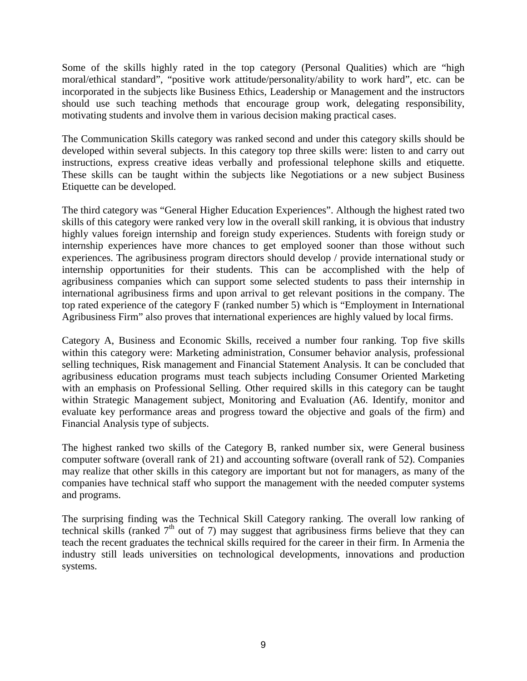Some of the skills highly rated in the top category (Personal Qualities) which are "high moral/ethical standard", "positive work attitude/personality/ability to work hard", etc. can be incorporated in the subjects like Business Ethics, Leadership or Management and the instructors should use such teaching methods that encourage group work, delegating responsibility, motivating students and involve them in various decision making practical cases.

The Communication Skills category was ranked second and under this category skills should be developed within several subjects. In this category top three skills were: listen to and carry out instructions, express creative ideas verbally and professional telephone skills and etiquette. These skills can be taught within the subjects like Negotiations or a new subject Business Etiquette can be developed.

The third category was "General Higher Education Experiences". Although the highest rated two skills of this category were ranked very low in the overall skill ranking, it is obvious that industry highly values foreign internship and foreign study experiences. Students with foreign study or internship experiences have more chances to get employed sooner than those without such experiences. The agribusiness program directors should develop / provide international study or internship opportunities for their students. This can be accomplished with the help of agribusiness companies which can support some selected students to pass their internship in international agribusiness firms and upon arrival to get relevant positions in the company. The top rated experience of the category F (ranked number 5) which is "Employment in International Agribusiness Firm" also proves that international experiences are highly valued by local firms.

Category A, Business and Economic Skills, received a number four ranking. Top five skills within this category were: Marketing administration, Consumer behavior analysis, professional selling techniques, Risk management and Financial Statement Analysis. It can be concluded that agribusiness education programs must teach subjects including Consumer Oriented Marketing with an emphasis on Professional Selling. Other required skills in this category can be taught within Strategic Management subject, Monitoring and Evaluation (A6. Identify, monitor and evaluate key performance areas and progress toward the objective and goals of the firm) and Financial Analysis type of subjects.

The highest ranked two skills of the Category B, ranked number six, were General business computer software (overall rank of 21) and accounting software (overall rank of 52). Companies may realize that other skills in this category are important but not for managers, as many of the companies have technical staff who support the management with the needed computer systems and programs.

The surprising finding was the Technical Skill Category ranking. The overall low ranking of technical skills (ranked  $7<sup>th</sup>$  out of 7) may suggest that agribusiness firms believe that they can teach the recent graduates the technical skills required for the career in their firm. In Armenia the industry still leads universities on technological developments, innovations and production systems.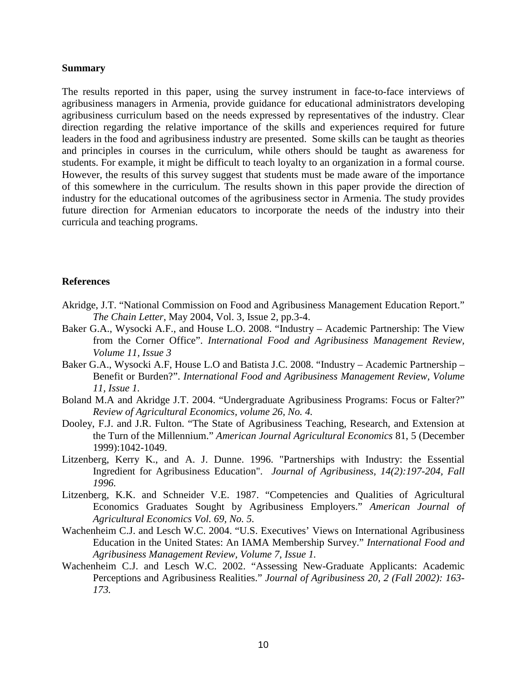#### **Summary**

The results reported in this paper, using the survey instrument in face-to-face interviews of agribusiness managers in Armenia, provide guidance for educational administrators developing agribusiness curriculum based on the needs expressed by representatives of the industry. Clear direction regarding the relative importance of the skills and experiences required for future leaders in the food and agribusiness industry are presented. Some skills can be taught as theories and principles in courses in the curriculum, while others should be taught as awareness for students. For example, it might be difficult to teach loyalty to an organization in a formal course. However, the results of this survey suggest that students must be made aware of the importance of this somewhere in the curriculum. The results shown in this paper provide the direction of industry for the educational outcomes of the agribusiness sector in Armenia. The study provides future direction for Armenian educators to incorporate the needs of the industry into their curricula and teaching programs.

#### **References**

- Akridge, J.T. "National Commission on Food and Agribusiness Management Education Report." *The Chain Letter*, May 2004, Vol. 3, Issue 2, pp.3-4.
- Baker G.A., Wysocki A.F., and House L.O. 2008. "Industry Academic Partnership: The View from the Corner Office". *International Food and Agribusiness Management Review, Volume 11, Issue 3*
- Baker G.A., Wysocki A.F, House L.O and Batista J.C. 2008. "Industry Academic Partnership Benefit or Burden?". *International Food and Agribusiness Management Review, Volume 11, Issue 1.*
- Boland M.A and Akridge J.T. 2004. "Undergraduate Agribusiness Programs: Focus or Falter?" *Review of Agricultural Economics, volume 26, No. 4.*
- Dooley, F.J. and J.R. Fulton. "The State of Agribusiness Teaching, Research, and Extension at the Turn of the Millennium." *American Journal Agricultural Economics* 81, 5 (December 1999):1042-1049.
- Litzenberg, Kerry K., and A. J. Dunne. 1996. "Partnerships with Industry: the Essential Ingredient for Agribusiness Education". *Journal of Agribusiness, 14(2):197-204, Fall 1996.*
- Litzenberg, K.K. and Schneider V.E. 1987. "Competencies and Qualities of Agricultural Economics Graduates Sought by Agribusiness Employers." *American Journal of Agricultural Economics Vol. 69, No. 5.*
- Wachenheim C.J. and Lesch W.C. 2004. "U.S. Executives' Views on International Agribusiness Education in the United States: An IAMA Membership Survey." *International Food and Agribusiness Management Review, Volume 7, Issue 1.*
- Wachenheim C.J. and Lesch W.C. 2002. "Assessing New-Graduate Applicants: Academic Perceptions and Agribusiness Realities." *Journal of Agribusiness 20, 2 (Fall 2002): 163- 173.*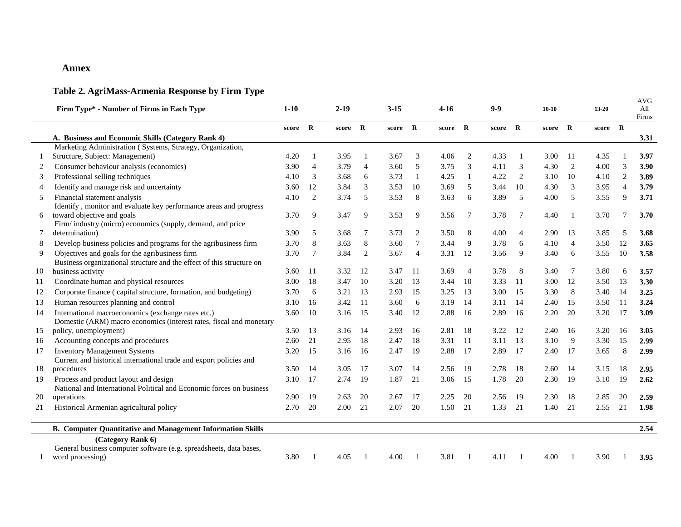#### **Annex**

### **Table 2. AgriMass-Armenia Response by Firm Type**

|    | Firm Type* - Number of Firms in Each Type                                    | $1 - 10$ |                 | $2 - 19$ |                | $3 - 15$ |                | $4-16$  |                | $9 - 9$ |                | $10 - 10$ |                | $13 - 20$ |                | <b>AVG</b><br>All<br>Firms |
|----|------------------------------------------------------------------------------|----------|-----------------|----------|----------------|----------|----------------|---------|----------------|---------|----------------|-----------|----------------|-----------|----------------|----------------------------|
|    |                                                                              | score    | $\mathbf{R}$    | score R  |                | score R  |                | score R |                | score R |                | score R   |                | score     | $\mathbf{R}$   |                            |
|    | A. Business and Economic Skills (Category Rank 4)                            |          |                 |          |                |          |                |         |                |         |                |           |                |           |                | 3.31                       |
|    | Marketing Administration (Systems, Strategy, Organization,                   |          |                 |          |                |          |                |         |                |         |                |           |                |           |                |                            |
|    | Structure, Subject: Management)                                              | 4.20     |                 | 3.95     |                | 3.67     | 3              | 4.06    | 2              | 4.33    |                | 3.00      | 11             | 4.35      |                | 3.97                       |
| 2  | Consumer behaviour analysis (economics)                                      | 3.90     | $\overline{4}$  | 3.79     | $\overline{4}$ | 3.60     | 5              | 3.75    | 3              | 4.11    | 3              | 4.30      | 2              | 4.00      | 3              | 3.90                       |
| 3  | Professional selling techniques                                              | 4.10     | 3               | 3.68     | 6              | 3.73     | 1              | 4.25    | 1              | 4.22    | $\overline{2}$ | 3.10      | 10             | 4.10      | 2              | 3.89                       |
| 4  | Identify and manage risk and uncertainty                                     | 3.60     | 12              | 3.84     | 3              | 3.53     | 10             | 3.69    | 5              | 3.44    | 10             | 4.30      | 3              | 3.95      | $\overline{4}$ | 3.79                       |
| 5  | Financial statement analysis                                                 | 4.10     | 2               | 3.74     | 5              | 3.53     | 8              | 3.63    | 6              | 3.89    | 5              | 4.00      | 5              | 3.55      | 9              | 3.71                       |
|    | Identify, monitor and evaluate key performance areas and progress            |          |                 |          |                |          |                |         |                |         |                |           |                |           |                |                            |
| 6  | toward objective and goals                                                   | 3.70     | 9               | 3.47     | 9              | 3.53     | 9              | 3.56    | 7              | 3.78    | 7              | 4.40      | $\mathbf{1}$   | 3.70      | 7              | 3.70                       |
| 7  | Firm/industry (micro) economics (supply, demand, and price<br>determination) | 3.90     | 5               | 3.68     | 7              | 3.73     | $\overline{c}$ | 3.50    | 8              | 4.00    | $\overline{4}$ | 2.90      | 13             | 3.85      | 5              | 3.68                       |
| 8  | Develop business policies and programs for the agribusiness firm             | 3.70     | 8               | 3.63     | 8              | 3.60     | 7              | 3.44    | 9              | 3.78    | 6              | 4.10      | $\overline{4}$ | 3.50      | 12             | 3.65                       |
| 9  | Objectives and goals for the agribusiness firm                               | 3.70     | $7\phantom{.0}$ | 3.84     | 2              | 3.67     | $\overline{4}$ | 3.31    | 12             | 3.56    | 9              | 3.40      | 6              | 3.55      | 10             | 3.58                       |
|    | Business organizational structure and the effect of this structure on        |          |                 |          |                |          |                |         |                |         |                |           |                |           |                |                            |
| 10 | business activity                                                            | 3.60     | -11             | 3.32     | -12            | 3.47     | -11            | 3.69    | $\overline{4}$ | 3.78    | 8              | 3.40      | 7              | 3.80      | 6              | 3.57                       |
| 11 | Coordinate human and physical resources                                      | 3.00     | 18              | 3.47     | 10             | 3.20     | 13             | 3.44    | 10             | 3.33    | 11             | 3.00      | 12             | 3.50      | 13             | 3.30                       |
| 12 | Corporate finance (capital structure, formation, and budgeting)              | 3.70     | 6               | 3.21     | 13             | 2.93     | 15             | 3.25    | 13             | 3.00    | 15             | 3.30      | 8              | 3.40      | -14            | 3.25                       |
| 13 | Human resources planning and control                                         | 3.10     | 16              | 3.42     | -11            | 3.60     | 6              | 3.19    | 14             | 3.11    | 14             | 2.40      | 15             | 3.50      | -11            | 3.24                       |
| 14 | International macroeconomics (exchange rates etc.)                           | 3.60     | 10              | 3.16     | 15             | 3.40     | 12             | 2.88    | 16             | 2.89    | 16             | 2.20      | 20             | 3.20      | 17             | 3.09                       |
|    | Domestic (ARM) macro economics (interest rates, fiscal and monetary          |          |                 |          |                |          |                |         |                |         |                |           |                |           |                |                            |
| 15 | policy, unemployment)                                                        | 3.50     | 13              | 3.16     | -14            | 2.93     | 16             | 2.81    | 18             | 3.22    | 12             | 2.40      | 16             | 3.20      | 16             | 3.05                       |
| 16 | Accounting concepts and procedures                                           | 2.60     | 21              | 2.95     | 18             | 2.47     | 18             | 3.31    | -11            | 3.11    | 13             | 3.10      | 9              | 3.30      | 15             | 2.99                       |
| 17 | <b>Inventory Management Systems</b>                                          | 3.20     | 15              | 3.16     | 16             | 2.47     | 19             | 2.88    | 17             | 2.89    | 17             | 2.40      | 17             | 3.65      | 8              | 2.99                       |
|    | Current and historical international trade and export policies and           |          |                 |          |                |          |                |         |                |         |                |           |                |           |                |                            |
| 18 | procedures                                                                   | 3.50     | 14              | 3.05     | -17            | 3.07     | 14             | 2.56    | -19            | 2.78    | 18             | 2.60      | 14             | 3.15      | 18             | 2.95                       |
| 19 | Process and product layout and design                                        | 3.10     | 17              | 2.74     | -19            | 1.87     | 21             | 3.06    | 15             | 1.78    | 20             | 2.30      | 19             | 3.10      | 19             | 2.62                       |
|    | National and International Political and Economic forces on business         |          |                 |          |                |          |                |         |                |         |                |           |                |           |                |                            |
| 20 | operations                                                                   | 2.90     | 19              | 2.63     | 20             | 2.67     | 17             | 2.25    | 20             | 2.56    | 19             | 2.30      | 18             | 2.85      | 20             | 2.59                       |
| 21 | Historical Armenian agricultural policy                                      | 2.70     | 20              | 2.00     | 21             | 2.07     | 20             | 1.50    | 21             | 1.33    | 21             | 1.40      | 21             | 2.55      | 21             | 1.98                       |
|    | <b>B. Computer Quantitative and Management Information Skills</b>            |          |                 |          |                |          |                |         |                |         |                |           |                |           |                | 2.54                       |
|    | (Category Rank 6)                                                            |          |                 |          |                |          |                |         |                |         |                |           |                |           |                |                            |
|    | General business computer software (e.g. spreadsheets, data bases,           |          |                 |          |                |          |                |         |                |         |                |           |                |           |                |                            |
|    | word processing)                                                             | 3.80     | $\overline{1}$  | 4.05     |                | 4.00     |                | 3.81    |                | 4.11    |                | 4.00      |                | 3.90      |                | 3.95                       |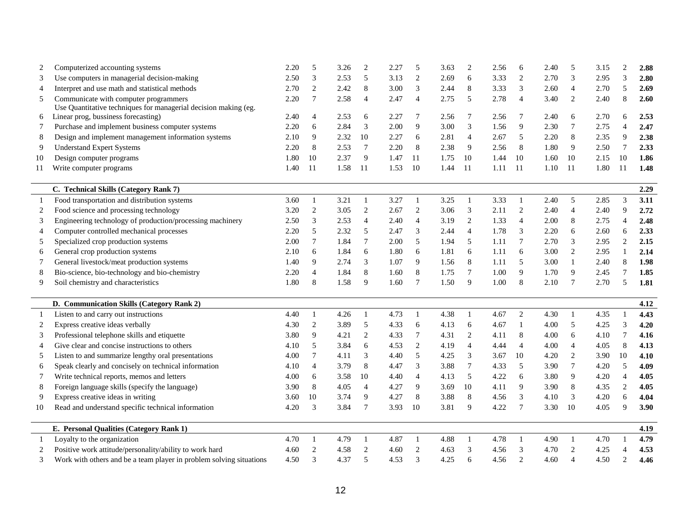| 2<br>3<br>$\overline{4}$<br>5<br>6<br>7<br>8<br>9<br>10<br>11<br>2<br>3<br>4<br>5<br>6<br>7<br>8<br>9<br>- 1<br>2<br>3<br>$\overline{4}$ | Computerized accounting systems<br>Use computers in managerial decision-making<br>Interpret and use math and statistical methods<br>Communicate with computer programmers<br>Use Quantitative techniques for managerial decision making (eg.<br>Linear prog, bussiness forecasting)<br>Purchase and implement business computer systems<br>Design and implement management information systems<br><b>Understand Expert Systems</b><br>Design computer programs<br>Write computer programs<br>C. Technical Skills (Category Rank 7)<br>Food transportation and distribution systems<br>Food science and processing technology | 2.20<br>2.50<br>2.70<br>2.20<br>2.40<br>2.20<br>2.10<br>2.20<br>1.80<br>1.40 | 5<br>3<br>$\mathfrak{2}$<br>$\overline{7}$<br>$\overline{4}$<br>6<br>9<br>8<br>10<br>-11 | 3.26<br>2.53<br>2.42<br>2.58<br>2.53<br>2.84<br>2.32<br>2.53<br>2.37<br>1.58 | $\overline{c}$<br>5<br>8<br>$\overline{4}$<br>6<br>3<br>10<br>$\overline{7}$<br>9 | 2.27<br>3.13<br>3.00<br>2.47<br>2.27<br>2.00<br>2.27<br>2.20 | 5<br>$\overline{c}$<br>3<br>$\overline{4}$<br>7<br>9<br>6<br>8 | 3.63<br>2.69<br>2.44<br>2.75<br>2.56<br>3.00<br>2.81 | $\overline{2}$<br>6<br>8<br>5<br>7<br>3<br>$\overline{4}$ | 2.56<br>3.33<br>3.33<br>2.78<br>2.56<br>1.56<br>2.67 | 6<br>$\overline{2}$<br>3<br>$\overline{4}$<br>7<br>9<br>5 | 2.40<br>2.70<br>2.60<br>3.40<br>2.40<br>2.30 | 5<br>3<br>$\overline{4}$<br>2<br>6<br>$\tau$ | 3.15<br>2.95<br>2.70<br>2.40<br>2.70<br>2.75 | $\overline{2}$<br>3<br>5<br>8<br>6<br>$\overline{4}$ | 2.88<br>2.80<br>2.69<br>2.60<br>2.53<br>2.47 |
|------------------------------------------------------------------------------------------------------------------------------------------|------------------------------------------------------------------------------------------------------------------------------------------------------------------------------------------------------------------------------------------------------------------------------------------------------------------------------------------------------------------------------------------------------------------------------------------------------------------------------------------------------------------------------------------------------------------------------------------------------------------------------|------------------------------------------------------------------------------|------------------------------------------------------------------------------------------|------------------------------------------------------------------------------|-----------------------------------------------------------------------------------|--------------------------------------------------------------|----------------------------------------------------------------|------------------------------------------------------|-----------------------------------------------------------|------------------------------------------------------|-----------------------------------------------------------|----------------------------------------------|----------------------------------------------|----------------------------------------------|------------------------------------------------------|----------------------------------------------|
|                                                                                                                                          |                                                                                                                                                                                                                                                                                                                                                                                                                                                                                                                                                                                                                              |                                                                              |                                                                                          |                                                                              |                                                                                   |                                                              |                                                                |                                                      |                                                           |                                                      |                                                           |                                              |                                              |                                              |                                                      |                                              |
|                                                                                                                                          |                                                                                                                                                                                                                                                                                                                                                                                                                                                                                                                                                                                                                              |                                                                              |                                                                                          |                                                                              |                                                                                   |                                                              |                                                                |                                                      |                                                           |                                                      |                                                           |                                              |                                              |                                              |                                                      |                                              |
|                                                                                                                                          |                                                                                                                                                                                                                                                                                                                                                                                                                                                                                                                                                                                                                              |                                                                              |                                                                                          |                                                                              |                                                                                   |                                                              |                                                                |                                                      |                                                           |                                                      |                                                           |                                              |                                              |                                              |                                                      |                                              |
|                                                                                                                                          |                                                                                                                                                                                                                                                                                                                                                                                                                                                                                                                                                                                                                              |                                                                              |                                                                                          |                                                                              |                                                                                   |                                                              |                                                                |                                                      |                                                           |                                                      |                                                           |                                              |                                              |                                              |                                                      |                                              |
|                                                                                                                                          |                                                                                                                                                                                                                                                                                                                                                                                                                                                                                                                                                                                                                              |                                                                              |                                                                                          |                                                                              |                                                                                   |                                                              |                                                                |                                                      |                                                           |                                                      |                                                           |                                              |                                              |                                              |                                                      |                                              |
|                                                                                                                                          |                                                                                                                                                                                                                                                                                                                                                                                                                                                                                                                                                                                                                              |                                                                              |                                                                                          |                                                                              |                                                                                   |                                                              |                                                                |                                                      |                                                           |                                                      |                                                           |                                              |                                              |                                              |                                                      |                                              |
|                                                                                                                                          |                                                                                                                                                                                                                                                                                                                                                                                                                                                                                                                                                                                                                              |                                                                              |                                                                                          |                                                                              |                                                                                   |                                                              |                                                                |                                                      |                                                           |                                                      |                                                           |                                              |                                              |                                              |                                                      |                                              |
|                                                                                                                                          |                                                                                                                                                                                                                                                                                                                                                                                                                                                                                                                                                                                                                              |                                                                              |                                                                                          |                                                                              |                                                                                   |                                                              |                                                                |                                                      |                                                           |                                                      |                                                           | 2.20                                         | 8                                            | 2.35                                         | 9                                                    | 2.38                                         |
|                                                                                                                                          |                                                                                                                                                                                                                                                                                                                                                                                                                                                                                                                                                                                                                              |                                                                              |                                                                                          |                                                                              |                                                                                   |                                                              |                                                                | 2.38                                                 | 9                                                         | 2.56                                                 | 8                                                         | 1.80                                         | 9                                            | 2.50                                         | $\overline{7}$                                       | 2.33                                         |
|                                                                                                                                          |                                                                                                                                                                                                                                                                                                                                                                                                                                                                                                                                                                                                                              |                                                                              |                                                                                          |                                                                              |                                                                                   | 1.47                                                         | 11                                                             | 1.75                                                 | 10                                                        | 1.44                                                 | 10                                                        | 1.60                                         | 10                                           | 2.15                                         | 10                                                   | 1.86                                         |
|                                                                                                                                          |                                                                                                                                                                                                                                                                                                                                                                                                                                                                                                                                                                                                                              |                                                                              |                                                                                          |                                                                              | 11                                                                                | 1.53                                                         | 10                                                             | 1.44                                                 | 11                                                        | 1.11                                                 | 11                                                        | 1.10                                         | 11                                           | 1.80                                         | 11                                                   | 1.48                                         |
|                                                                                                                                          |                                                                                                                                                                                                                                                                                                                                                                                                                                                                                                                                                                                                                              |                                                                              |                                                                                          |                                                                              |                                                                                   |                                                              |                                                                |                                                      |                                                           |                                                      |                                                           |                                              |                                              |                                              |                                                      | 2.29                                         |
|                                                                                                                                          |                                                                                                                                                                                                                                                                                                                                                                                                                                                                                                                                                                                                                              | 3.60                                                                         | -1                                                                                       | 3.21                                                                         | 1                                                                                 | 3.27                                                         | 1                                                              | 3.25                                                 | $\mathbf{1}$                                              | 3.33                                                 | $\mathbf{1}$                                              | 2.40                                         | 5                                            | 2.85                                         | 3                                                    | 3.11                                         |
|                                                                                                                                          |                                                                                                                                                                                                                                                                                                                                                                                                                                                                                                                                                                                                                              | 3.20                                                                         | $\overline{2}$                                                                           | 3.05                                                                         | $\mathbf{2}$                                                                      | 2.67                                                         | $\mathfrak{2}$                                                 | 3.06                                                 | 3                                                         | 2.11                                                 | $\mathbf{2}$                                              | 2.40                                         | $\overline{4}$                               | 2.40                                         | 9                                                    | 2.72                                         |
|                                                                                                                                          | Engineering technology of production/processing machinery                                                                                                                                                                                                                                                                                                                                                                                                                                                                                                                                                                    | 2.50                                                                         | 3                                                                                        | 2.53                                                                         | $\overline{4}$                                                                    | 2.40                                                         | $\overline{4}$                                                 | 3.19                                                 | 2                                                         | 1.33                                                 | $\overline{4}$                                            | 2.00                                         | 8                                            | 2.75                                         | 4                                                    | 2.48                                         |
|                                                                                                                                          | Computer controlled mechanical processes                                                                                                                                                                                                                                                                                                                                                                                                                                                                                                                                                                                     | 2.20                                                                         | 5                                                                                        | 2.32                                                                         | 5                                                                                 | 2.47                                                         | 3                                                              | 2.44                                                 | 4                                                         | 1.78                                                 | 3                                                         | 2.20                                         | 6                                            | 2.60                                         | 6                                                    | 2.33                                         |
|                                                                                                                                          | Specialized crop production systems                                                                                                                                                                                                                                                                                                                                                                                                                                                                                                                                                                                          | 2.00                                                                         | 7                                                                                        | 1.84                                                                         | 7                                                                                 | 2.00                                                         | 5                                                              | 1.94                                                 | 5                                                         | 1.11                                                 | 7                                                         | 2.70                                         | 3                                            | 2.95                                         | $\overline{2}$                                       | 2.15                                         |
|                                                                                                                                          | General crop production systems                                                                                                                                                                                                                                                                                                                                                                                                                                                                                                                                                                                              | 2.10                                                                         | 6                                                                                        | 1.84                                                                         | 6                                                                                 | 1.80                                                         | 6                                                              | 1.81                                                 | 6                                                         | 1.11                                                 | 6                                                         | 3.00                                         | 2                                            | 2.95                                         |                                                      | 2.14                                         |
|                                                                                                                                          | General livestock/meat production systems                                                                                                                                                                                                                                                                                                                                                                                                                                                                                                                                                                                    | 1.40                                                                         | 9                                                                                        | 2.74                                                                         | 3                                                                                 | 1.07                                                         | 9                                                              | 1.56                                                 | 8                                                         | 1.11                                                 | 5                                                         | 3.00                                         | $\mathbf{1}$                                 | 2.40                                         | 8                                                    | 1.98                                         |
|                                                                                                                                          | Bio-science, bio-technology and bio-chemistry                                                                                                                                                                                                                                                                                                                                                                                                                                                                                                                                                                                | 2.20                                                                         | $\overline{4}$                                                                           | 1.84                                                                         | $\,8\,$                                                                           | 1.60                                                         | 8                                                              | 1.75                                                 | $\tau$                                                    | 1.00                                                 | 9                                                         | 1.70                                         | 9                                            | 2.45                                         | $\overline{7}$                                       | 1.85                                         |
|                                                                                                                                          | Soil chemistry and characteristics                                                                                                                                                                                                                                                                                                                                                                                                                                                                                                                                                                                           | 1.80                                                                         | 8                                                                                        | 1.58                                                                         | 9                                                                                 | 1.60                                                         | $\overline{7}$                                                 | 1.50                                                 | 9                                                         | 1.00                                                 | 8                                                         | 2.10                                         | $\overline{7}$                               | 2.70                                         | 5                                                    | 1.81                                         |
|                                                                                                                                          | D. Communication Skills (Category Rank 2)                                                                                                                                                                                                                                                                                                                                                                                                                                                                                                                                                                                    |                                                                              |                                                                                          |                                                                              |                                                                                   |                                                              |                                                                |                                                      |                                                           |                                                      |                                                           |                                              |                                              |                                              |                                                      | 4.12                                         |
|                                                                                                                                          | Listen to and carry out instructions                                                                                                                                                                                                                                                                                                                                                                                                                                                                                                                                                                                         | 4.40                                                                         | $\mathbf{1}$                                                                             | 4.26                                                                         | -1                                                                                | 4.73                                                         | 1                                                              | 4.38                                                 | 1                                                         | 4.67                                                 | $\overline{c}$                                            | 4.30                                         | $\mathbf{1}$                                 | 4.35                                         |                                                      | 4.43                                         |
|                                                                                                                                          | Express creative ideas verbally                                                                                                                                                                                                                                                                                                                                                                                                                                                                                                                                                                                              | 4.30                                                                         | $\mathfrak{2}$                                                                           | 3.89                                                                         | 5                                                                                 | 4.33                                                         | 6                                                              | 4.13                                                 | 6                                                         | 4.67                                                 | $\mathbf{1}$                                              | 4.00                                         | 5                                            | 4.25                                         | 3                                                    | 4.20                                         |
|                                                                                                                                          | Professional telephone skills and etiquette                                                                                                                                                                                                                                                                                                                                                                                                                                                                                                                                                                                  | 3.80                                                                         | 9                                                                                        | 4.21                                                                         | $\boldsymbol{2}$                                                                  | 4.33                                                         | $\overline{7}$                                                 | 4.31                                                 | 2                                                         | 4.11                                                 | $\,$ 8 $\,$                                               | 4.00                                         | 6                                            | 4.10                                         | $\overline{7}$                                       | 4.16                                         |
|                                                                                                                                          | Give clear and concise instructions to others                                                                                                                                                                                                                                                                                                                                                                                                                                                                                                                                                                                | 4.10                                                                         | 5                                                                                        | 3.84                                                                         | 6                                                                                 | 4.53                                                         | $\overline{c}$                                                 | 4.19                                                 | $\overline{4}$                                            | 4.44                                                 | $\overline{4}$                                            | 4.00                                         | $\overline{4}$                               | 4.05                                         | $\,8\,$                                              | 4.13                                         |
| 5                                                                                                                                        | Listen to and summarize lengthy oral presentations                                                                                                                                                                                                                                                                                                                                                                                                                                                                                                                                                                           | 4.00                                                                         | 7                                                                                        | 4.11                                                                         | 3                                                                                 | 4.40                                                         | 5                                                              | 4.25                                                 | 3                                                         | 3.67                                                 | 10                                                        | 4.20                                         | 2                                            | 3.90                                         | 10                                                   | 4.10                                         |
| 6                                                                                                                                        | Speak clearly and concisely on technical information                                                                                                                                                                                                                                                                                                                                                                                                                                                                                                                                                                         | 4.10                                                                         | $\overline{4}$                                                                           | 3.79                                                                         | $\,8\,$                                                                           | 4.47                                                         | 3                                                              | 3.88                                                 | $\tau$                                                    | 4.33                                                 | 5                                                         | 3.90                                         | $\overline{7}$                               | 4.20                                         | 5                                                    | 4.09                                         |
| 7                                                                                                                                        | Write technical reports, memos and letters                                                                                                                                                                                                                                                                                                                                                                                                                                                                                                                                                                                   | 4.00                                                                         | 6                                                                                        | 3.58                                                                         | 10                                                                                | 4.40                                                         | $\overline{4}$                                                 | 4.13                                                 | 5                                                         | 4.22                                                 | 6                                                         | 3.80                                         | 9                                            | 4.20                                         | $\overline{4}$                                       | 4.05                                         |
| 8                                                                                                                                        | Foreign language skills (specify the language)                                                                                                                                                                                                                                                                                                                                                                                                                                                                                                                                                                               | 3.90                                                                         | 8                                                                                        | 4.05                                                                         | $\overline{4}$                                                                    | 4.27                                                         | 9                                                              | 3.69                                                 | 10                                                        | 4.11                                                 | 9                                                         | 3.90                                         | 8                                            | 4.35                                         | $\overline{c}$                                       | 4.05                                         |
| 9                                                                                                                                        | Express creative ideas in writing                                                                                                                                                                                                                                                                                                                                                                                                                                                                                                                                                                                            | 3.60                                                                         | 10                                                                                       | 3.74                                                                         | 9                                                                                 | 4.27                                                         | 8                                                              | 3.88                                                 | 8                                                         | 4.56                                                 | 3                                                         | 4.10                                         | 3                                            | 4.20                                         | 6                                                    | 4.04                                         |
| 10                                                                                                                                       | Read and understand specific technical information                                                                                                                                                                                                                                                                                                                                                                                                                                                                                                                                                                           | 4.20                                                                         | 3                                                                                        | 3.84                                                                         | $\tau$                                                                            | 3.93                                                         | 10                                                             | 3.81                                                 | 9                                                         | 4.22                                                 | $\overline{7}$                                            | 3.30                                         | 10                                           | 4.05                                         | 9                                                    | 3.90                                         |
|                                                                                                                                          | E. Personal Qualities (Category Rank 1)                                                                                                                                                                                                                                                                                                                                                                                                                                                                                                                                                                                      |                                                                              |                                                                                          |                                                                              |                                                                                   |                                                              |                                                                |                                                      |                                                           |                                                      |                                                           |                                              |                                              |                                              |                                                      | 4.19                                         |
| -1                                                                                                                                       | Loyalty to the organization                                                                                                                                                                                                                                                                                                                                                                                                                                                                                                                                                                                                  | 4.70                                                                         | -1                                                                                       | 4.79                                                                         | -1                                                                                | 4.87                                                         | 1                                                              | 4.88                                                 | 1                                                         | 4.78                                                 | $\mathbf{1}$                                              | 4.90                                         | $\mathbf{1}$                                 | 4.70                                         |                                                      | 4.79                                         |
| 2                                                                                                                                        |                                                                                                                                                                                                                                                                                                                                                                                                                                                                                                                                                                                                                              | 4.60                                                                         | $\mathfrak{2}$                                                                           | 4.58                                                                         | $\overline{2}$                                                                    | 4.60                                                         | $\mathbf{2}$                                                   | 4.63                                                 | 3                                                         | 4.56                                                 | 3                                                         | 4.70                                         | 2                                            | 4.25                                         | $\overline{\mathcal{A}}$                             | 4.53                                         |
| 3                                                                                                                                        | Positive work attitude/personality/ability to work hard                                                                                                                                                                                                                                                                                                                                                                                                                                                                                                                                                                      | 4.50                                                                         | $\mathcal{R}$                                                                            | 4.37                                                                         | $\overline{\phantom{0}}$                                                          | 4.53                                                         | $\mathcal{R}$                                                  | 4.25                                                 | 6                                                         | 4.56                                                 | $\overline{2}$                                            | 4.60                                         | $\Delta$                                     | 4.50                                         | $\mathfrak{D}$                                       | 4.46                                         |